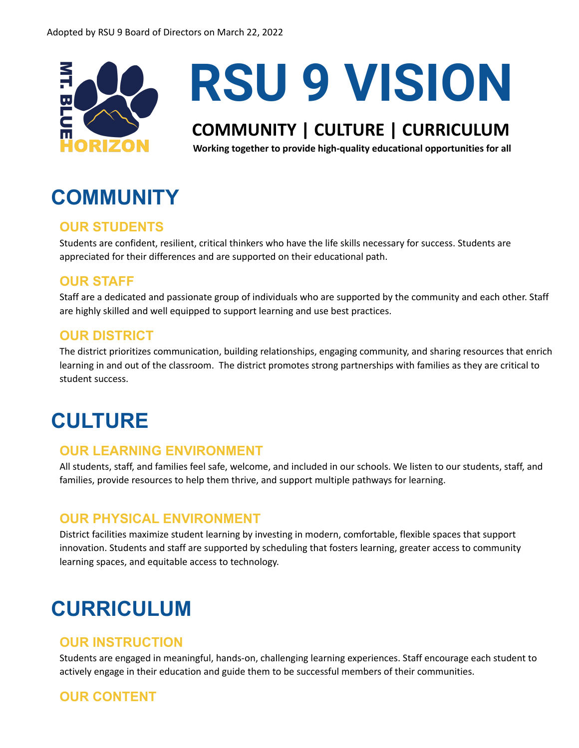

# **RSU 9 VISION**

## **COMMUNITY | CULTURE | CURRICULUM**

**Working together to provide high-quality educational opportunities for all**

## **COMMUNITY**

## **OUR STUDENTS**

Students are confident, resilient, critical thinkers who have the life skills necessary for success. Students are appreciated for their differences and are supported on their educational path.

## **OUR STAFF**

Staff are a dedicated and passionate group of individuals who are supported by the community and each other. Staff are highly skilled and well equipped to support learning and use best practices.

### **OUR DISTRICT**

The district prioritizes communication, building relationships, engaging community, and sharing resources that enrich learning in and out of the classroom. The district promotes strong partnerships with families as they are critical to student success.

## **CULTURE**

### **OUR LEARNING ENVIRONMENT**

All students, staff, and families feel safe, welcome, and included in our schools. We listen to our students, staff, and families, provide resources to help them thrive, and support multiple pathways for learning.

### **OUR PHYSICAL ENVIRONMENT**

District facilities maximize student learning by investing in modern, comfortable, flexible spaces that support innovation. Students and staff are supported by scheduling that fosters learning, greater access to community learning spaces, and equitable access to technology.

## **CURRICULUM**

### **OUR INSTRUCTION**

Students are engaged in meaningful, hands-on, challenging learning experiences. Staff encourage each student to actively engage in their education and guide them to be successful members of their communities.

## **OUR CONTENT**